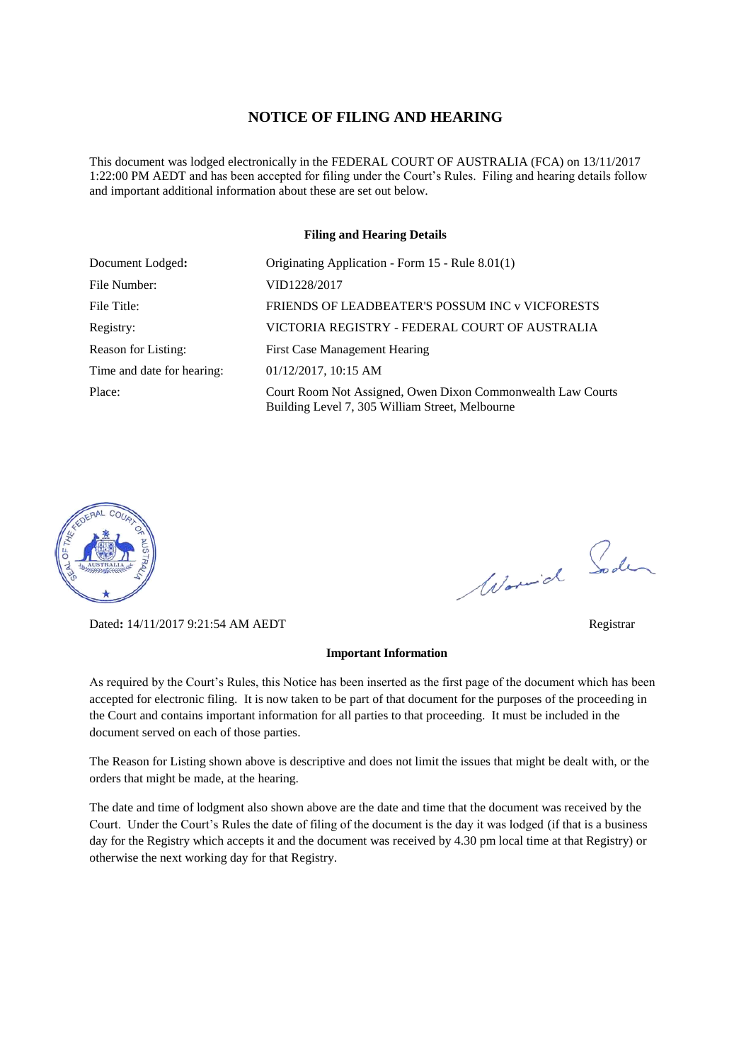#### **NOTICE OF FILING AND HEARING**

This document was lodged electronically in the FEDERAL COURT OF AUSTRALIA (FCA) on 13/11/2017 1:22:00 PM AEDT and has been accepted for filing under the Court's Rules. Filing and hearing details follow and important additional information about these are set out below.

#### **Filing and Hearing Details**

| Document Lodged:           | Originating Application - Form 15 - Rule 8.01(1)                                                               |
|----------------------------|----------------------------------------------------------------------------------------------------------------|
| File Number:               | VID1228/2017                                                                                                   |
| File Title:                | FRIENDS OF LEADBEATER'S POSSUM INC y VICFORESTS                                                                |
| Registry:                  | VICTORIA REGISTRY - FEDERAL COURT OF AUSTRALIA                                                                 |
| Reason for Listing:        | First Case Management Hearing                                                                                  |
| Time and date for hearing: | $01/12/2017$ , 10:15 AM                                                                                        |
| Place:                     | Court Room Not Assigned, Owen Dixon Commonwealth Law Courts<br>Building Level 7, 305 William Street, Melbourne |



Dated**:** 14/11/2017 9:21:54 AM AEDT Registrar

# **Important Information**

As required by the Court's Rules, this Notice has been inserted as the first page of the document which has been accepted for electronic filing. It is now taken to be part of that document for the purposes of the proceeding in the Court and contains important information for all parties to that proceeding. It must be included in the document served on each of those parties.

The Reason for Listing shown above is descriptive and does not limit the issues that might be dealt with, or the orders that might be made, at the hearing.

The date and time of lodgment also shown above are the date and time that the document was received by the Court. Under the Court's Rules the date of filing of the document is the day it was lodged (if that is a business day for the Registry which accepts it and the document was received by 4.30 pm local time at that Registry) or otherwise the next working day for that Registry.

Worwich Soden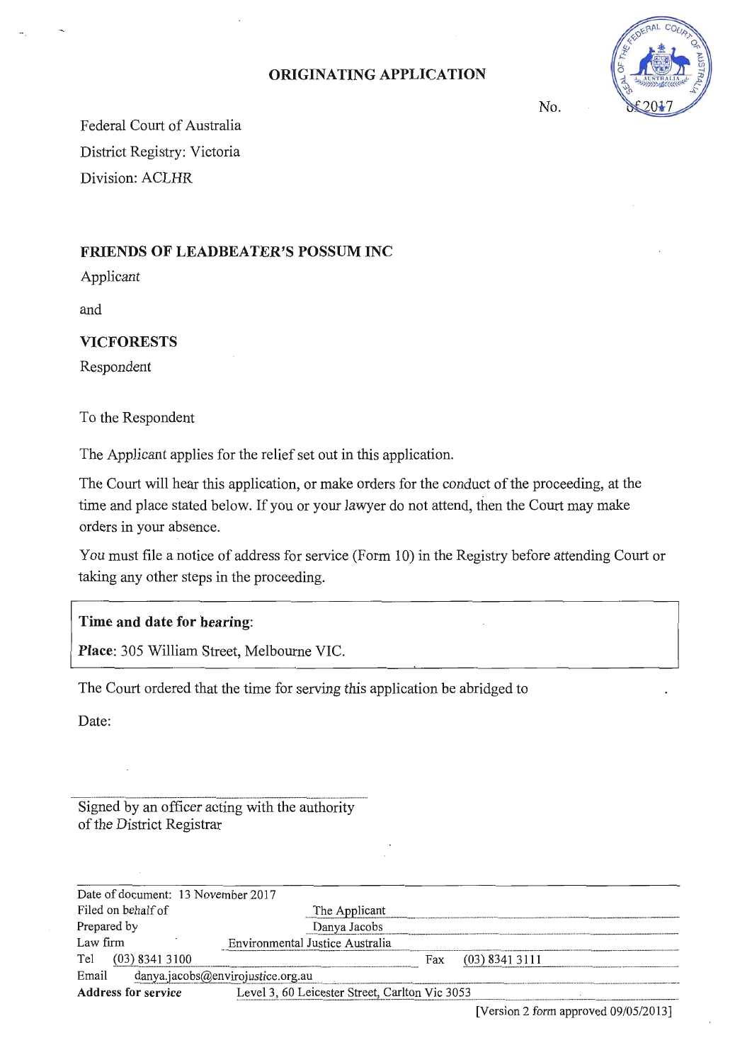### **ORIGINATING APPLICATION**



No.

Federal Court of Australia District Registry: Victoria Division: ACLHR

## **FRIENDS OF LEADBEATER'S POSSUM INC**

Applicant

and

#### **VI CFO RESTS**

Respondent

To the Respondent

The Applicant applies for the relief set out in this application.

The Court will hear this application, or make orders for the conduct of the proceeding, at the time and place stated below. If you or your lawyer do not attend, then the Court may make orders in your absence.

You must file a notice of address for service (Form 10) in the Registry before attending Court or taking any other steps in the proceeding.

## **Time and date for hearing:**

**Place:** 305 William Street, Melbourne VIC.

The Court ordered that the time for serving this application be abridged to

Date:

Signed by an officer acting with the authority of the District Registrar

| Date of document: 13 November 2017         |                                                |     |                  |  |
|--------------------------------------------|------------------------------------------------|-----|------------------|--|
| Filed on behalf of                         | The Applicant                                  |     |                  |  |
| Prepared by                                | Danya Jacobs                                   |     |                  |  |
| Law firm                                   | Environmental Justice Australia                |     |                  |  |
| Tel<br>$(03)$ 8341 3100                    |                                                | Fax | $(03)$ 8341 3111 |  |
| Email<br>danya.jacobs@envirojustice.org.au |                                                |     |                  |  |
| <b>Address for service</b>                 | Level 3, 60 Leicester Street, Carlton Vic 3053 |     |                  |  |
|                                            |                                                |     |                  |  |

[Version 2 form approved 09/05/2013)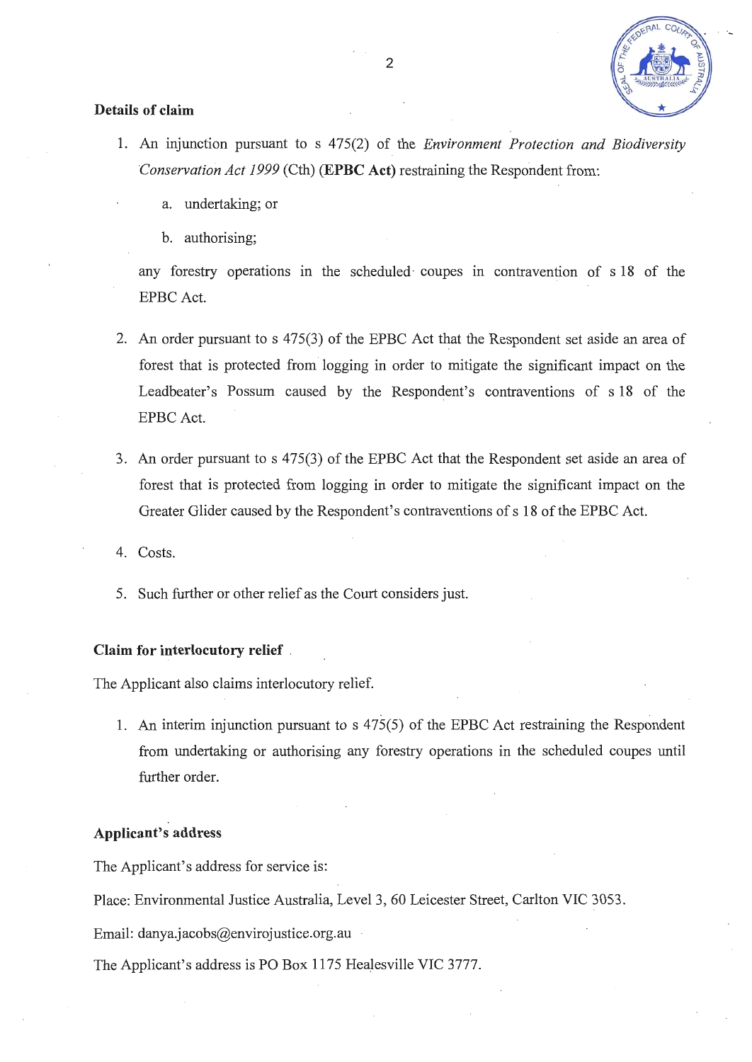

#### **Details of claim**

- 1. An injunction pursuant to s 475(2) of the *Environment Protection and Biodiversity Conservation Act 1999* (Cth) **(EPBC Act)** restraining the Respondent from:
	- a. undertaking; or
	- b. authorising;

any forestry operations in the scheduled coupes in contravention of s 18 of the EPBC Act.

- 2. An order pursuant to s 475(3) of the EPBC Act that the Respondent set aside an area of forest that is protected from logging in order to mitigate the significant impact on the Leadbeater's Possum caused by the Respondent's contraventions of s 18 of the EPBC Act.
- 3. An order pursuant to s 475(3) of the EPBC Act that the Respondent set aside an area of forest that is protected from logging in order to mitigate the significant impact on the Greater Glider caused by the Respondent's contraventions of s 18 of the EPBC Act.
- 4. Costs.
- 5. Such further or other relief as the Court considers just.

#### **Claim for interlocutory relief** .

The Applicant also claims interlocutory relief.

1. An interim injunction pursuant to s 475(5) of the EPBC Act restraining the Respondent from undertaking or authorising any forestry operations in the scheduled coupes until further order.

#### **Applicant's address**

The Applicant's address for service is:

Place: Environmental Justice Australia, Level 3, 60 Leicester Street, Carlton VIC 3053.

Email: danya.jacobs@envirojustice.org.au

The Applicant's address is PO Box 1175 Healesville VIC 3777.